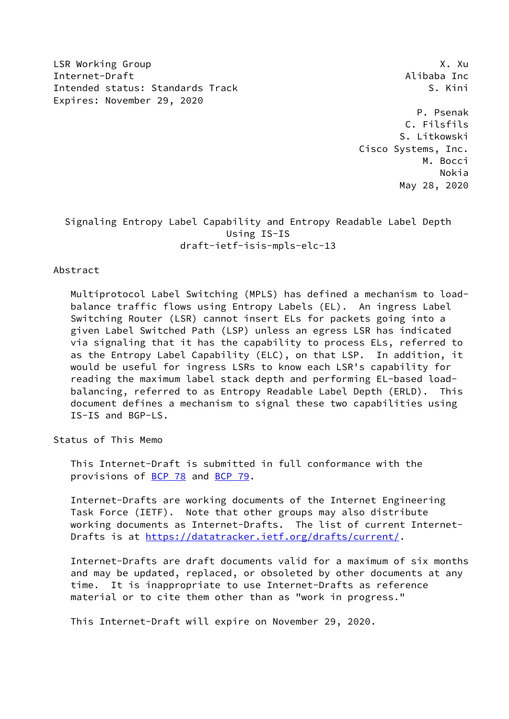LSR Working Group **X. 2008** Internet-Draft Alibaba Inc Intended status: Standards Track S. Kini Expires: November 29, 2020

 P. Psenak C. Filsfils S. Litkowski Cisco Systems, Inc. M. Bocci Nokia May 28, 2020

 Signaling Entropy Label Capability and Entropy Readable Label Depth Using IS-IS draft-ietf-isis-mpls-elc-13

Abstract

 Multiprotocol Label Switching (MPLS) has defined a mechanism to load balance traffic flows using Entropy Labels (EL). An ingress Label Switching Router (LSR) cannot insert ELs for packets going into a given Label Switched Path (LSP) unless an egress LSR has indicated via signaling that it has the capability to process ELs, referred to as the Entropy Label Capability (ELC), on that LSP. In addition, it would be useful for ingress LSRs to know each LSR's capability for reading the maximum label stack depth and performing EL-based load balancing, referred to as Entropy Readable Label Depth (ERLD). This document defines a mechanism to signal these two capabilities using IS-IS and BGP-LS.

Status of This Memo

 This Internet-Draft is submitted in full conformance with the provisions of [BCP 78](https://datatracker.ietf.org/doc/pdf/bcp78) and [BCP 79](https://datatracker.ietf.org/doc/pdf/bcp79).

 Internet-Drafts are working documents of the Internet Engineering Task Force (IETF). Note that other groups may also distribute working documents as Internet-Drafts. The list of current Internet Drafts is at<https://datatracker.ietf.org/drafts/current/>.

 Internet-Drafts are draft documents valid for a maximum of six months and may be updated, replaced, or obsoleted by other documents at any time. It is inappropriate to use Internet-Drafts as reference material or to cite them other than as "work in progress."

This Internet-Draft will expire on November 29, 2020.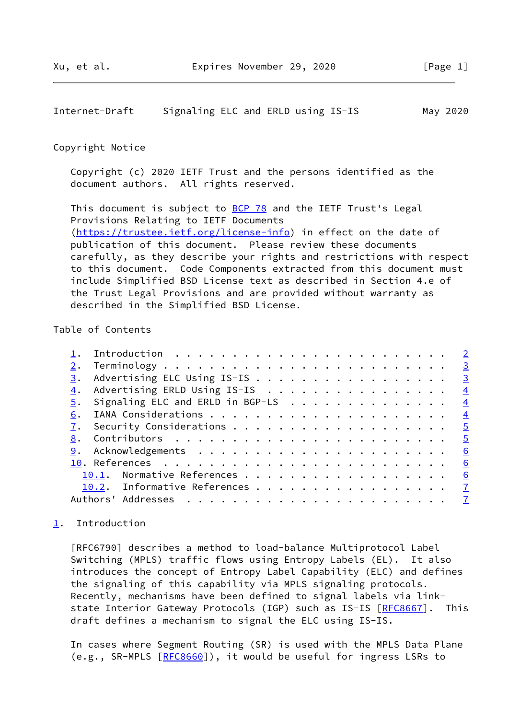<span id="page-1-1"></span>Internet-Draft Signaling ELC and ERLD using IS-IS May 2020

### Copyright Notice

 Copyright (c) 2020 IETF Trust and the persons identified as the document authors. All rights reserved.

This document is subject to **[BCP 78](https://datatracker.ietf.org/doc/pdf/bcp78)** and the IETF Trust's Legal Provisions Relating to IETF Documents [\(https://trustee.ietf.org/license-info](https://trustee.ietf.org/license-info)) in effect on the date of publication of this document. Please review these documents carefully, as they describe your rights and restrictions with respect to this document. Code Components extracted from this document must include Simplified BSD License text as described in Section 4.e of the Trust Legal Provisions and are provided without warranty as described in the Simplified BSD License.

## Table of Contents

|    | $\underline{3}$ . Advertising ELC Using IS-IS 3   |                |
|----|---------------------------------------------------|----------------|
|    | $\underline{4}$ . Advertising ERLD Using IS-IS    | $\overline{4}$ |
|    | $\overline{5}$ . Signaling ELC and ERLD in BGP-LS | $\frac{4}{1}$  |
| 6. |                                                   | $\frac{4}{1}$  |
|    |                                                   |                |
|    |                                                   |                |
|    |                                                   |                |
|    |                                                   |                |
|    | 10.1. Normative References 6                      |                |
|    | 10.2. Informative References 7                    |                |
|    |                                                   |                |
|    |                                                   |                |

# <span id="page-1-0"></span>[1](#page-1-0). Introduction

 [RFC6790] describes a method to load-balance Multiprotocol Label Switching (MPLS) traffic flows using Entropy Labels (EL). It also introduces the concept of Entropy Label Capability (ELC) and defines the signaling of this capability via MPLS signaling protocols. Recently, mechanisms have been defined to signal labels via link- state Interior Gateway Protocols (IGP) such as IS-IS [\[RFC8667](https://datatracker.ietf.org/doc/pdf/rfc8667)]. This draft defines a mechanism to signal the ELC using IS-IS.

 In cases where Segment Routing (SR) is used with the MPLS Data Plane (e.g., SR-MPLS [\[RFC8660](https://datatracker.ietf.org/doc/pdf/rfc8660)]), it would be useful for ingress LSRs to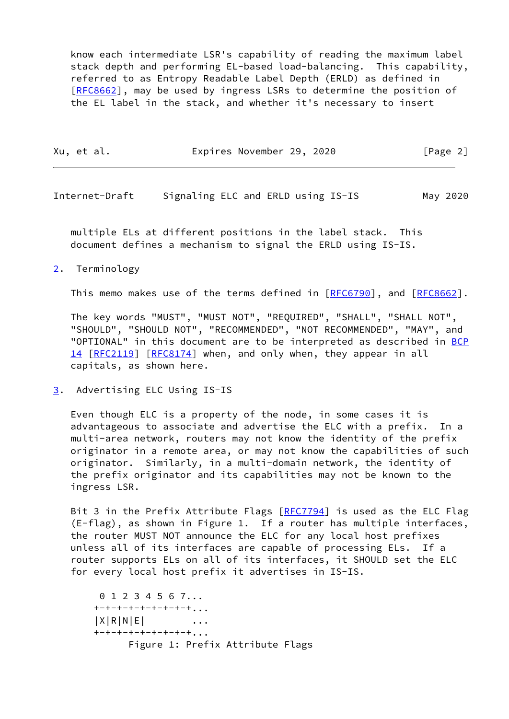know each intermediate LSR's capability of reading the maximum label stack depth and performing EL-based load-balancing. This capability, referred to as Entropy Readable Label Depth (ERLD) as defined in [\[RFC8662](https://datatracker.ietf.org/doc/pdf/rfc8662)], may be used by ingress LSRs to determine the position of the EL label in the stack, and whether it's necessary to insert

| Xu, et al. | Expires November 29, 2020 |  | [Page 2] |
|------------|---------------------------|--|----------|
|            |                           |  |          |

<span id="page-2-1"></span>Internet-Draft Signaling ELC and ERLD using IS-IS May 2020

 multiple ELs at different positions in the label stack. This document defines a mechanism to signal the ERLD using IS-IS.

### <span id="page-2-0"></span>[2](#page-2-0). Terminology

This memo makes use of the terms defined in [\[RFC6790](https://datatracker.ietf.org/doc/pdf/rfc6790)], and [[RFC8662\]](https://datatracker.ietf.org/doc/pdf/rfc8662).

 The key words "MUST", "MUST NOT", "REQUIRED", "SHALL", "SHALL NOT", "SHOULD", "SHOULD NOT", "RECOMMENDED", "NOT RECOMMENDED", "MAY", and "OPTIONAL" in this document are to be interpreted as described in [BCP](https://datatracker.ietf.org/doc/pdf/bcp14) [14](https://datatracker.ietf.org/doc/pdf/bcp14) [[RFC2119\]](https://datatracker.ietf.org/doc/pdf/rfc2119) [\[RFC8174](https://datatracker.ietf.org/doc/pdf/rfc8174)] when, and only when, they appear in all capitals, as shown here.

<span id="page-2-2"></span>[3](#page-2-2). Advertising ELC Using IS-IS

 Even though ELC is a property of the node, in some cases it is advantageous to associate and advertise the ELC with a prefix. In a multi-area network, routers may not know the identity of the prefix originator in a remote area, or may not know the capabilities of such originator. Similarly, in a multi-domain network, the identity of the prefix originator and its capabilities may not be known to the ingress LSR.

Bit 3 in the Prefix Attribute Flags [\[RFC7794](https://datatracker.ietf.org/doc/pdf/rfc7794)] is used as the ELC Flag (E-flag), as shown in Figure 1. If a router has multiple interfaces, the router MUST NOT announce the ELC for any local host prefixes unless all of its interfaces are capable of processing ELs. If a router supports ELs on all of its interfaces, it SHOULD set the ELC for every local host prefix it advertises in IS-IS.

 0 1 2 3 4 5 6 7... +-+-+-+-+-+-+-+-+...  $|X|R|N|E|$  +-+-+-+-+-+-+-+-+... Figure 1: Prefix Attribute Flags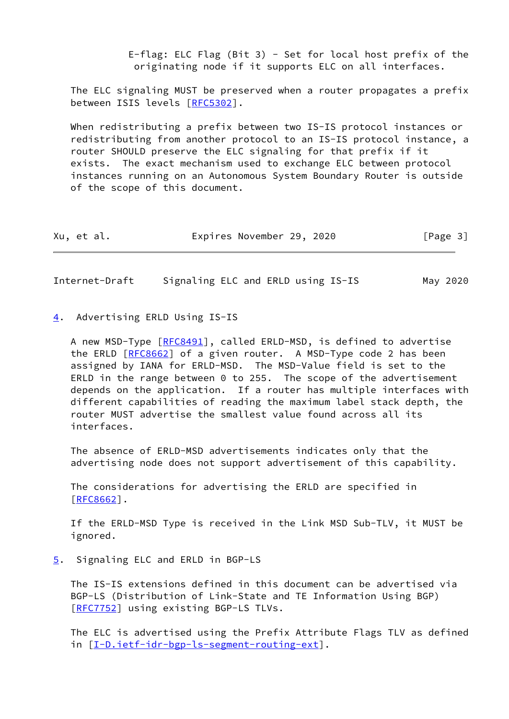E-flag: ELC Flag (Bit 3) - Set for local host prefix of the originating node if it supports ELC on all interfaces.

 The ELC signaling MUST be preserved when a router propagates a prefix between ISIS levels [\[RFC5302](https://datatracker.ietf.org/doc/pdf/rfc5302)].

 When redistributing a prefix between two IS-IS protocol instances or redistributing from another protocol to an IS-IS protocol instance, a router SHOULD preserve the ELC signaling for that prefix if it exists. The exact mechanism used to exchange ELC between protocol instances running on an Autonomous System Boundary Router is outside of the scope of this document.

| Xu, et al. |  |  |  | Expires November 29, 2020 |  |  |  | [Page 3] |  |
|------------|--|--|--|---------------------------|--|--|--|----------|--|
|------------|--|--|--|---------------------------|--|--|--|----------|--|

<span id="page-3-1"></span>Internet-Draft Signaling ELC and ERLD using IS-IS May 2020

#### <span id="page-3-0"></span>[4](#page-3-0). Advertising ERLD Using IS-IS

A new MSD-Type  $[REC8491]$ , called ERLD-MSD, is defined to advertise the ERLD [\[RFC8662](https://datatracker.ietf.org/doc/pdf/rfc8662)] of a given router. A MSD-Type code 2 has been assigned by IANA for ERLD-MSD. The MSD-Value field is set to the ERLD in the range between 0 to 255. The scope of the advertisement depends on the application. If a router has multiple interfaces with different capabilities of reading the maximum label stack depth, the router MUST advertise the smallest value found across all its interfaces.

 The absence of ERLD-MSD advertisements indicates only that the advertising node does not support advertisement of this capability.

 The considerations for advertising the ERLD are specified in [\[RFC8662](https://datatracker.ietf.org/doc/pdf/rfc8662)].

 If the ERLD-MSD Type is received in the Link MSD Sub-TLV, it MUST be ignored.

<span id="page-3-2"></span>[5](#page-3-2). Signaling ELC and ERLD in BGP-LS

 The IS-IS extensions defined in this document can be advertised via BGP-LS (Distribution of Link-State and TE Information Using BGP) [\[RFC7752](https://datatracker.ietf.org/doc/pdf/rfc7752)] using existing BGP-LS TLVs.

 The ELC is advertised using the Prefix Attribute Flags TLV as defined in [[I-D.ietf-idr-bgp-ls-segment-routing-ext\]](#page-5-4).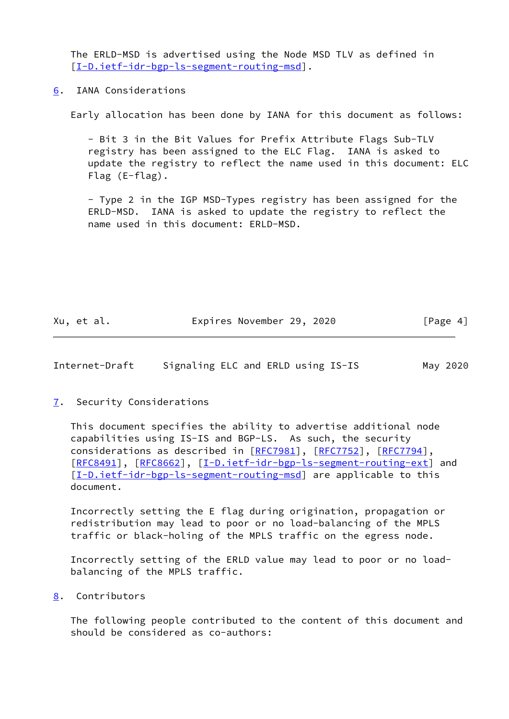The ERLD-MSD is advertised using the Node MSD TLV as defined in [\[I-D.ietf-idr-bgp-ls-segment-routing-msd](#page-6-1)].

<span id="page-4-0"></span>[6](#page-4-0). IANA Considerations

Early allocation has been done by IANA for this document as follows:

 - Bit 3 in the Bit Values for Prefix Attribute Flags Sub-TLV registry has been assigned to the ELC Flag. IANA is asked to update the registry to reflect the name used in this document: ELC Flag (E-flag).

 - Type 2 in the IGP MSD-Types registry has been assigned for the ERLD-MSD. IANA is asked to update the registry to reflect the name used in this document: ERLD-MSD.

Xu, et al. Expires November 29, 2020 [Page 4]

<span id="page-4-2"></span>Internet-Draft Signaling ELC and ERLD using IS-IS May 2020

### <span id="page-4-1"></span>[7](#page-4-1). Security Considerations

 This document specifies the ability to advertise additional node capabilities using IS-IS and BGP-LS. As such, the security considerations as described in [\[RFC7981](https://datatracker.ietf.org/doc/pdf/rfc7981)], [[RFC7752](https://datatracker.ietf.org/doc/pdf/rfc7752)], [\[RFC7794](https://datatracker.ietf.org/doc/pdf/rfc7794)], [\[RFC8491](https://datatracker.ietf.org/doc/pdf/rfc8491)], [[RFC8662\]](https://datatracker.ietf.org/doc/pdf/rfc8662), [[I-D.ietf-idr-bgp-ls-segment-routing-ext](#page-5-4)] and [\[I-D.ietf-idr-bgp-ls-segment-routing-msd](#page-6-1)] are applicable to this document.

 Incorrectly setting the E flag during origination, propagation or redistribution may lead to poor or no load-balancing of the MPLS traffic or black-holing of the MPLS traffic on the egress node.

 Incorrectly setting of the ERLD value may lead to poor or no load balancing of the MPLS traffic.

<span id="page-4-3"></span>[8](#page-4-3). Contributors

 The following people contributed to the content of this document and should be considered as co-authors: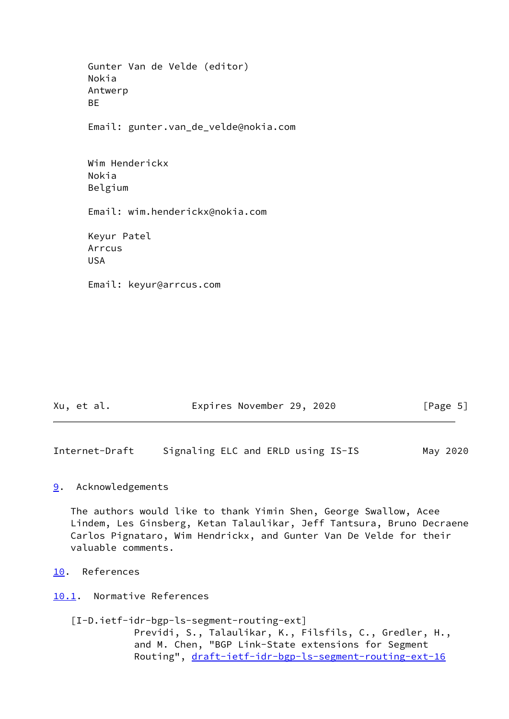Gunter Van de Velde (editor) Nokia Antwerp BE Email: gunter.van\_de\_velde@nokia.com Wim Henderickx Nokia Belgium Email: wim.henderickx@nokia.com Keyur Patel Arrcus USA Email: keyur@arrcus.com

|  | Xu, et al. |  | Expires November 29, 2020 |  |  | [Page 5] |  |
|--|------------|--|---------------------------|--|--|----------|--|
|--|------------|--|---------------------------|--|--|----------|--|

<span id="page-5-1"></span>Internet-Draft Signaling ELC and ERLD using IS-IS May 2020

### <span id="page-5-0"></span>[9](#page-5-0). Acknowledgements

 The authors would like to thank Yimin Shen, George Swallow, Acee Lindem, Les Ginsberg, Ketan Talaulikar, Jeff Tantsura, Bruno Decraene Carlos Pignataro, Wim Hendrickx, and Gunter Van De Velde for their valuable comments.

### <span id="page-5-2"></span>[10.](#page-5-2) References

<span id="page-5-3"></span>[10.1](#page-5-3). Normative References

<span id="page-5-4"></span> [I-D.ietf-idr-bgp-ls-segment-routing-ext] Previdi, S., Talaulikar, K., Filsfils, C., Gredler, H., and M. Chen, "BGP Link-State extensions for Segment Routing", [draft-ietf-idr-bgp-ls-segment-routing-ext-16](https://datatracker.ietf.org/doc/pdf/draft-ietf-idr-bgp-ls-segment-routing-ext-16)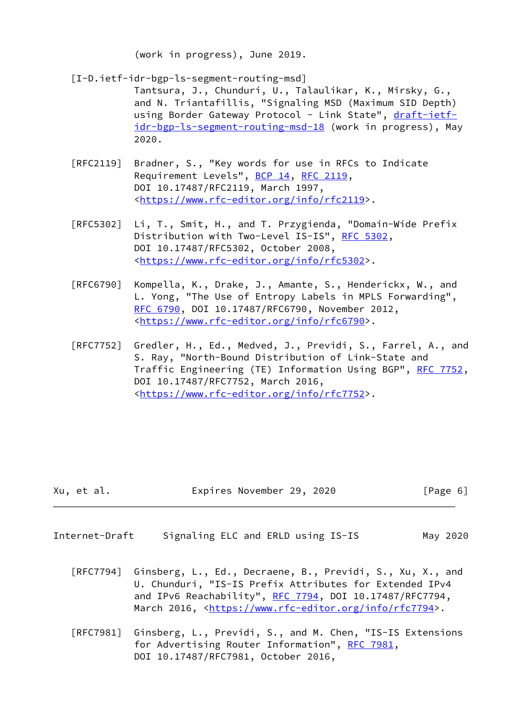(work in progress), June 2019.

- <span id="page-6-1"></span> [I-D.ietf-idr-bgp-ls-segment-routing-msd] Tantsura, J., Chunduri, U., Talaulikar, K., Mirsky, G., and N. Triantafillis, "Signaling MSD (Maximum SID Depth) using Border Gateway Protocol - Link State", [draft-ietf](https://datatracker.ietf.org/doc/pdf/draft-ietf-idr-bgp-ls-segment-routing-msd-18) [idr-bgp-ls-segment-routing-msd-18](https://datatracker.ietf.org/doc/pdf/draft-ietf-idr-bgp-ls-segment-routing-msd-18) (work in progress), May 2020.
- [RFC2119] Bradner, S., "Key words for use in RFCs to Indicate Requirement Levels", [BCP 14](https://datatracker.ietf.org/doc/pdf/bcp14), [RFC 2119](https://datatracker.ietf.org/doc/pdf/rfc2119), DOI 10.17487/RFC2119, March 1997, <[https://www.rfc-editor.org/info/rfc2119>](https://www.rfc-editor.org/info/rfc2119).
- [RFC5302] Li, T., Smit, H., and T. Przygienda, "Domain-Wide Prefix Distribution with Two-Level IS-IS", [RFC 5302,](https://datatracker.ietf.org/doc/pdf/rfc5302) DOI 10.17487/RFC5302, October 2008, <[https://www.rfc-editor.org/info/rfc5302>](https://www.rfc-editor.org/info/rfc5302).
- [RFC6790] Kompella, K., Drake, J., Amante, S., Henderickx, W., and L. Yong, "The Use of Entropy Labels in MPLS Forwarding", [RFC 6790,](https://datatracker.ietf.org/doc/pdf/rfc6790) DOI 10.17487/RFC6790, November 2012, <[https://www.rfc-editor.org/info/rfc6790>](https://www.rfc-editor.org/info/rfc6790).
- [RFC7752] Gredler, H., Ed., Medved, J., Previdi, S., Farrel, A., and S. Ray, "North-Bound Distribution of Link-State and Traffic Engineering (TE) Information Using BGP", [RFC 7752,](https://datatracker.ietf.org/doc/pdf/rfc7752) DOI 10.17487/RFC7752, March 2016, <[https://www.rfc-editor.org/info/rfc7752>](https://www.rfc-editor.org/info/rfc7752).

| Xu, et al. | Expires November 29, 2020 |  | [Page 6] |  |
|------------|---------------------------|--|----------|--|
|------------|---------------------------|--|----------|--|

- <span id="page-6-0"></span>Internet-Draft Signaling ELC and ERLD using IS-IS May 2020
	- [RFC7794] Ginsberg, L., Ed., Decraene, B., Previdi, S., Xu, X., and U. Chunduri, "IS-IS Prefix Attributes for Extended IPv4 and IPv6 Reachability", [RFC 7794,](https://datatracker.ietf.org/doc/pdf/rfc7794) DOI 10.17487/RFC7794, March 2016, [<https://www.rfc-editor.org/info/rfc7794](https://www.rfc-editor.org/info/rfc7794)>.
	- [RFC7981] Ginsberg, L., Previdi, S., and M. Chen, "IS-IS Extensions for Advertising Router Information", [RFC 7981](https://datatracker.ietf.org/doc/pdf/rfc7981), DOI 10.17487/RFC7981, October 2016,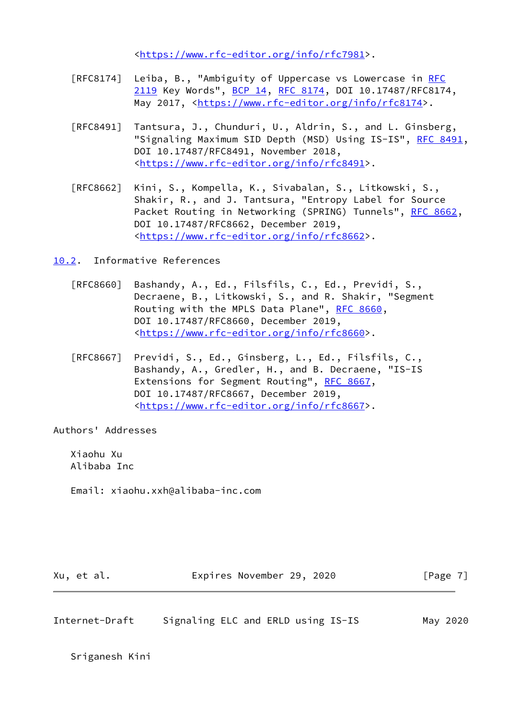<[https://www.rfc-editor.org/info/rfc7981>](https://www.rfc-editor.org/info/rfc7981).

- [RFC8174] Leiba, B., "Ambiguity of Uppercase vs Lowercase in [RFC](https://datatracker.ietf.org/doc/pdf/rfc2119) [2119](https://datatracker.ietf.org/doc/pdf/rfc2119) Key Words", [BCP 14](https://datatracker.ietf.org/doc/pdf/bcp14), [RFC 8174,](https://datatracker.ietf.org/doc/pdf/rfc8174) DOI 10.17487/RFC8174, May 2017, [<https://www.rfc-editor.org/info/rfc8174](https://www.rfc-editor.org/info/rfc8174)>.
- [RFC8491] Tantsura, J., Chunduri, U., Aldrin, S., and L. Ginsberg, "Signaling Maximum SID Depth (MSD) Using IS-IS", [RFC 8491,](https://datatracker.ietf.org/doc/pdf/rfc8491) DOI 10.17487/RFC8491, November 2018, <[https://www.rfc-editor.org/info/rfc8491>](https://www.rfc-editor.org/info/rfc8491).
- [RFC8662] Kini, S., Kompella, K., Sivabalan, S., Litkowski, S., Shakir, R., and J. Tantsura, "Entropy Label for Source Packet Routing in Networking (SPRING) Tunnels", [RFC 8662,](https://datatracker.ietf.org/doc/pdf/rfc8662) DOI 10.17487/RFC8662, December 2019, <[https://www.rfc-editor.org/info/rfc8662>](https://www.rfc-editor.org/info/rfc8662).

<span id="page-7-0"></span>[10.2](#page-7-0). Informative References

- [RFC8660] Bashandy, A., Ed., Filsfils, C., Ed., Previdi, S., Decraene, B., Litkowski, S., and R. Shakir, "Segment Routing with the MPLS Data Plane", [RFC 8660](https://datatracker.ietf.org/doc/pdf/rfc8660), DOI 10.17487/RFC8660, December 2019, <[https://www.rfc-editor.org/info/rfc8660>](https://www.rfc-editor.org/info/rfc8660).
- [RFC8667] Previdi, S., Ed., Ginsberg, L., Ed., Filsfils, C., Bashandy, A., Gredler, H., and B. Decraene, "IS-IS Extensions for Segment Routing", [RFC 8667,](https://datatracker.ietf.org/doc/pdf/rfc8667) DOI 10.17487/RFC8667, December 2019, <[https://www.rfc-editor.org/info/rfc8667>](https://www.rfc-editor.org/info/rfc8667).

Authors' Addresses

 Xiaohu Xu Alibaba Inc

Email: xiaohu.xxh@alibaba-inc.com

Xu, et al. **Expires November 29, 2020** [Page 7]

Internet-Draft Signaling ELC and ERLD using IS-IS May 2020

Sriganesh Kini